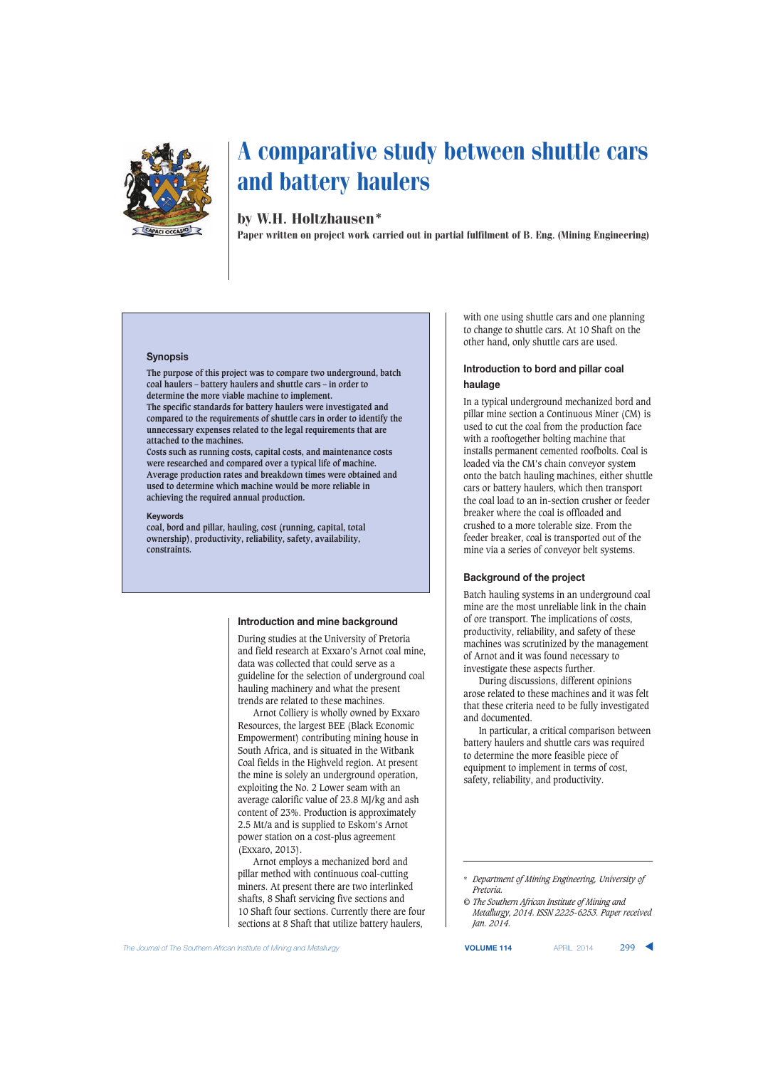

# by W.H. Holtzhausen\*

Paper written on project work carried out in partial fulfilment of B. Eng. (Mining Engineering)

#### **Synopsis**

**The purpose of this project was to compare two underground, batch coal haulers – battery haulers and shuttle cars – in order to determine the more viable machine to implement. The specific standards for battery haulers were investigated and compared to the requirements of shuttle cars in order to identify the unnecessary expenses related to the legal requirements that are attached to the machines.**

**Costs such as running costs, capital costs, and maintenance costs were researched and compared over a typical life of machine. Average production rates and breakdown times were obtained and used to determine which machine would be more reliable in achieving the required annual production.**

#### **Keywords**

**coal, bord and pillar, hauling, cost (running, capital, total ownership), productivity, reliability, safety, availability, constraints.**

#### **Introduction and mine background**

During studies at the University of Pretoria and field research at Exxaro's Arnot coal mine, data was collected that could serve as a guideline for the selection of underground coal hauling machinery and what the present trends are related to these machines.

Arnot Colliery is wholly owned by Exxaro Resources, the largest BEE (Black Economic Empowerment) contributing mining house in South Africa, and is situated in the Witbank Coal fields in the Highveld region. At present the mine is solely an underground operation, exploiting the No. 2 Lower seam with an average calorific value of 23.8 MJ/kg and ash content of 23%. Production is approximately 2.5 Mt/a and is supplied to Eskom's Arnot power station on a cost-plus agreement (Exxaro, 2013).

Arnot employs a mechanized bord and pillar method with continuous coal-cutting miners. At present there are two interlinked shafts, 8 Shaft servicing five sections and 10 Shaft four sections. Currently there are four sections at 8 Shaft that utilize battery haulers,

with one using shuttle cars and one planning to change to shuttle cars. At 10 Shaft on the other hand, only shuttle cars are used.

## **Introduction to bord and pillar coal haulage**

In a typical underground mechanized bord and pillar mine section a Continuous Miner (CM) is used to cut the coal from the production face with a rooftogether bolting machine that installs permanent cemented roofbolts. Coal is loaded via the CM's chain conveyor system onto the batch hauling machines, either shuttle cars or battery haulers, which then transport the coal load to an in-section crusher or feeder breaker where the coal is offloaded and crushed to a more tolerable size. From the feeder breaker, coal is transported out of the mine via a series of conveyor belt systems.

## **Background of the project**

Batch hauling systems in an underground coal mine are the most unreliable link in the chain of ore transport. The implications of costs, productivity, reliability, and safety of these machines was scrutinized by the management of Arnot and it was found necessary to investigate these aspects further.

During discussions, different opinions arose related to these machines and it was felt that these criteria need to be fully investigated and documented.

In particular, a critical comparison between battery haulers and shuttle cars was required to determine the more feasible piece of equipment to implement in terms of cost, safety, reliability, and productivity.

<sup>\*</sup> *Department of Mining Engineering, University of Pretoria.*

*<sup>©</sup> The Southern African Institute of Mining and Metallurgy, 2014. ISSN 2225-6253. Paper received Jan. 2014.*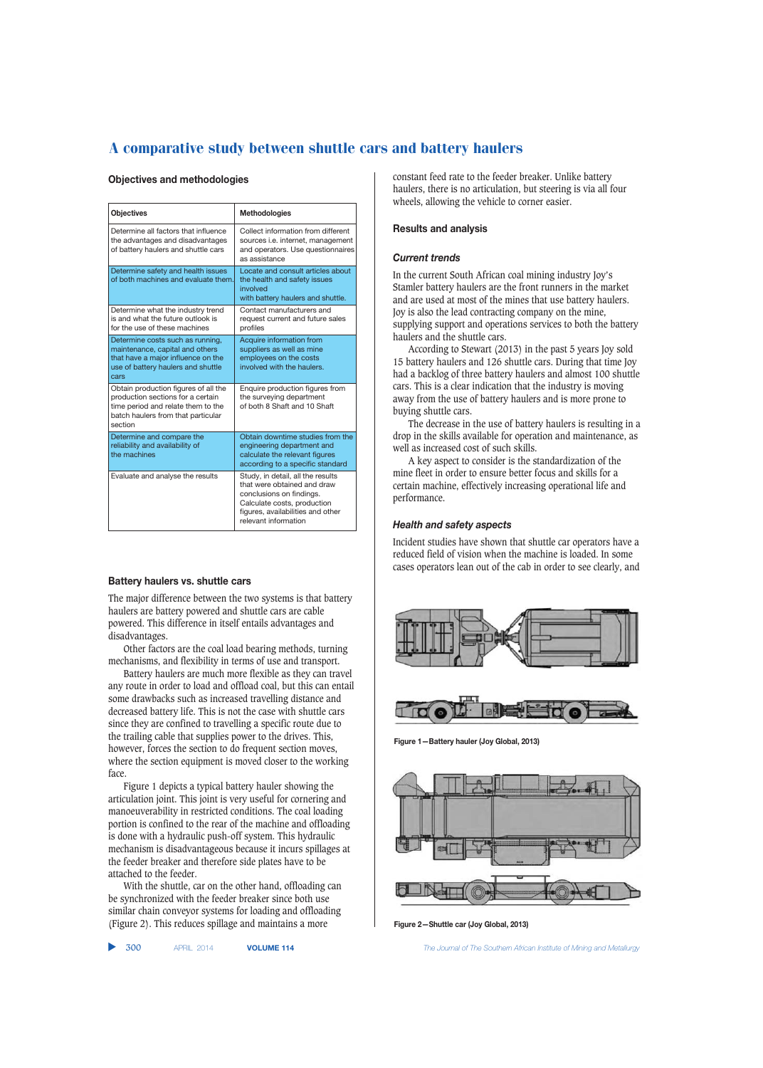### **Objectives and methodologies**

| <b>Objectives</b>                                                                                                                                                | Methodologies                                                                                                                                                                            |  |
|------------------------------------------------------------------------------------------------------------------------------------------------------------------|------------------------------------------------------------------------------------------------------------------------------------------------------------------------------------------|--|
| Determine all factors that influence<br>the advantages and disadvantages<br>of battery haulers and shuttle cars                                                  | Collect information from different<br>sources i.e. internet, management<br>and operators. Use questionnaires<br>as assistance                                                            |  |
| Determine safety and health issues<br>of both machines and evaluate them.                                                                                        | Locate and consult articles about<br>the health and safety issues<br>involved<br>with battery haulers and shuttle.                                                                       |  |
| Determine what the industry trend<br>is and what the future outlook is<br>for the use of these machines                                                          | Contact manufacturers and<br>request current and future sales<br>profiles                                                                                                                |  |
| Determine costs such as running,<br>maintenance, capital and others<br>that have a major influence on the<br>use of battery haulers and shuttle<br>cars          | Acquire information from<br>suppliers as well as mine<br>employees on the costs<br>involved with the haulers.                                                                            |  |
| Obtain production figures of all the<br>production sections for a certain<br>time period and relate them to the<br>batch haulers from that particular<br>section | Enquire production figures from<br>the surveying department<br>of both 8 Shaft and 10 Shaft                                                                                              |  |
| Determine and compare the<br>reliability and availability of<br>the machines                                                                                     | Obtain downtime studies from the<br>engineering department and<br>calculate the relevant figures<br>according to a specific standard                                                     |  |
| Evaluate and analyse the results                                                                                                                                 | Study, in detail, all the results<br>that were obtained and draw<br>conclusions on findings.<br>Calculate costs, production<br>figures, availabilities and other<br>relevant information |  |

## **Battery haulers vs. shuttle cars**

The major difference between the two systems is that battery haulers are battery powered and shuttle cars are cable powered. This difference in itself entails advantages and disadvantages.

Other factors are the coal load bearing methods, turning mechanisms, and flexibility in terms of use and transport.

Battery haulers are much more flexible as they can travel any route in order to load and offload coal, but this can entail some drawbacks such as increased travelling distance and decreased battery life. This is not the case with shuttle cars since they are confined to travelling a specific route due to the trailing cable that supplies power to the drives. This, however, forces the section to do frequent section moves, where the section equipment is moved closer to the working face.

Figure 1 depicts a typical battery hauler showing the articulation joint. This joint is very useful for cornering and manoeuverability in restricted conditions. The coal loading portion is confined to the rear of the machine and offloading is done with a hydraulic push-off system. This hydraulic mechanism is disadvantageous because it incurs spillages at the feeder breaker and therefore side plates have to be attached to the feeder.

With the shuttle, car on the other hand, offloading can be synchronized with the feeder breaker since both use similar chain conveyor systems for loading and offloading (Figure 2). This reduces spillage and maintains a more

▲ 300 APRIL 2014 **VOLUME 114** *The Journal of The Southern African Institute of Mining and Metallurgy*

constant feed rate to the feeder breaker. Unlike battery haulers, there is no articulation, but steering is via all four wheels, allowing the vehicle to corner easier.

## **Results and analysis**

## *Current trends*

In the current South African coal mining industry Joy's Stamler battery haulers are the front runners in the market and are used at most of the mines that use battery haulers. Joy is also the lead contracting company on the mine, supplying support and operations services to both the battery haulers and the shuttle cars.

According to Stewart (2013) in the past 5 years Joy sold 15 battery haulers and 126 shuttle cars. During that time Joy had a backlog of three battery haulers and almost 100 shuttle cars. This is a clear indication that the industry is moving away from the use of battery haulers and is more prone to buying shuttle cars.

The decrease in the use of battery haulers is resulting in a drop in the skills available for operation and maintenance, as well as increased cost of such skills.

A key aspect to consider is the standardization of the mine fleet in order to ensure better focus and skills for a certain machine, effectively increasing operational life and performance.

### *Health and safety aspects*

Incident studies have shown that shuttle car operators have a reduced field of vision when the machine is loaded. In some cases operators lean out of the cab in order to see clearly, and



**Figure 1—Battery hauler (Joy Global, 2013)**



**Figure 2—Shuttle car (Joy Global, 2013)**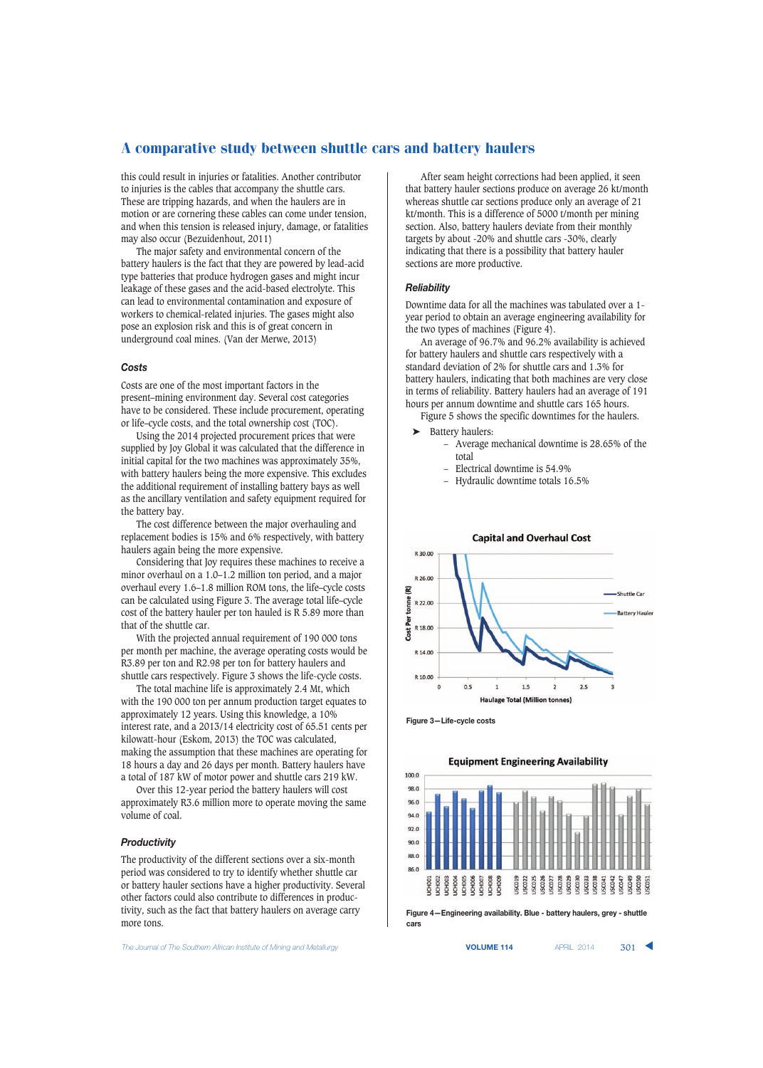this could result in injuries or fatalities. Another contributor to injuries is the cables that accompany the shuttle cars. These are tripping hazards, and when the haulers are in motion or are cornering these cables can come under tension, and when this tension is released injury, damage, or fatalities may also occur (Bezuidenhout, 2011)

The major safety and environmental concern of the battery haulers is the fact that they are powered by lead-acid type batteries that produce hydrogen gases and might incur leakage of these gases and the acid-based electrolyte. This can lead to environmental contamination and exposure of workers to chemical-related injuries. The gases might also pose an explosion risk and this is of great concern in underground coal mines. (Van der Merwe, 2013)

## *Costs*

Costs are one of the most important factors in the present–mining environment day. Several cost categories have to be considered. These include procurement, operating or life–cycle costs, and the total ownership cost (TOC).

Using the 2014 projected procurement prices that were supplied by Joy Global it was calculated that the difference in initial capital for the two machines was approximately 35%, with battery haulers being the more expensive. This excludes the additional requirement of installing battery bays as well as the ancillary ventilation and safety equipment required for the battery bay.

The cost difference between the major overhauling and replacement bodies is 15% and 6% respectively, with battery haulers again being the more expensive.

Considering that Joy requires these machines to receive a minor overhaul on a 1.0–1.2 million ton period, and a major overhaul every 1.6–1.8 million ROM tons, the life–cycle costs can be calculated using Figure 3. The average total life–cycle cost of the battery hauler per ton hauled is R 5.89 more than that of the shuttle car.

With the projected annual requirement of 190 000 tons per month per machine, the average operating costs would be R3.89 per ton and R2.98 per ton for battery haulers and shuttle cars respectively. Figure 3 shows the life-cycle costs.

The total machine life is approximately 2.4 Mt, which with the 190 000 ton per annum production target equates to approximately 12 years. Using this knowledge, a 10% interest rate, and a 2013/14 electricity cost of 65.51 cents per kilowatt-hour (Eskom, 2013) the TOC was calculated, making the assumption that these machines are operating for 18 hours a day and 26 days per month. Battery haulers have a total of 187 kW of motor power and shuttle cars 219 kW.

Over this 12-year period the battery haulers will cost approximately R3.6 million more to operate moving the same volume of coal.

## *Productivity*

The productivity of the different sections over a six-month period was considered to try to identify whether shuttle car or battery hauler sections have a higher productivity. Several other factors could also contribute to differences in productivity, such as the fact that battery haulers on average carry more tons.

After seam height corrections had been applied, it seen that battery hauler sections produce on average 26 kt/month whereas shuttle car sections produce only an average of 21 kt/month. This is a difference of 5000 t/month per mining section. Also, battery haulers deviate from their monthly targets by about -20% and shuttle cars -30%, clearly indicating that there is a possibility that battery hauler sections are more productive.

## *Reliability*

Downtime data for all the machines was tabulated over a 1 year period to obtain an average engineering availability for the two types of machines (Figure 4).

An average of 96.7% and 96.2% availability is achieved for battery haulers and shuttle cars respectively with a standard deviation of 2% for shuttle cars and 1.3% for battery haulers, indicating that both machines are very close in terms of reliability. Battery haulers had an average of 191 hours per annum downtime and shuttle cars 165 hours.

Figure 5 shows the specific downtimes for the haulers.

- ➤ Battery haulers:
	- Average mechanical downtime is 28.65% of the total
	- Electrical downtime is 54.9%
	- Hydraulic downtime totals 16.5%



**Figure 3—Life-cycle costs**



**Figure 4—Engineering availability. Blue - battery haulers, grey - shuttle cars**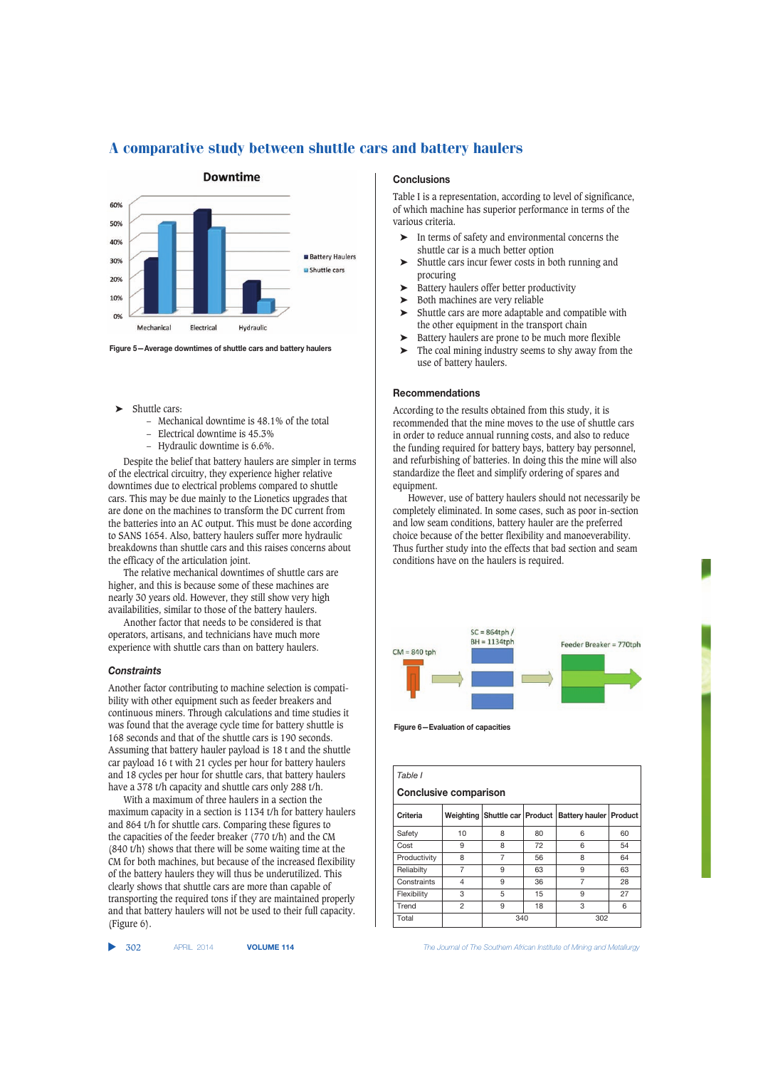

**Figure 5—Average downtimes of shuttle cars and battery haulers**

- Shuttle cars:
	- Mechanical downtime is 48.1% of the total
	- Electrical downtime is 45.3%
	- Hydraulic downtime is 6.6%.

Despite the belief that battery haulers are simpler in terms of the electrical circuitry, they experience higher relative downtimes due to electrical problems compared to shuttle cars. This may be due mainly to the Lionetics upgrades that are done on the machines to transform the DC current from the batteries into an AC output. This must be done according to SANS 1654. Also, battery haulers suffer more hydraulic breakdowns than shuttle cars and this raises concerns about the efficacy of the articulation joint.

The relative mechanical downtimes of shuttle cars are higher, and this is because some of these machines are nearly 30 years old. However, they still show very high availabilities, similar to those of the battery haulers.

Another factor that needs to be considered is that operators, artisans, and technicians have much more experience with shuttle cars than on battery haulers.

#### *Constraints*

Another factor contributing to machine selection is compatibility with other equipment such as feeder breakers and continuous miners. Through calculations and time studies it was found that the average cycle time for battery shuttle is 168 seconds and that of the shuttle cars is 190 seconds. Assuming that battery hauler payload is 18 t and the shuttle car payload 16 t with 21 cycles per hour for battery haulers and 18 cycles per hour for shuttle cars, that battery haulers have a 378 t/h capacity and shuttle cars only 288 t/h.

With a maximum of three haulers in a section the maximum capacity in a section is 1134 t/h for battery haulers and 864 t/h for shuttle cars. Comparing these figures to the capacities of the feeder breaker (770 t/h) and the CM (840 t/h) shows that there will be some waiting time at the CM for both machines, but because of the increased flexibility of the battery haulers they will thus be underutilized. This clearly shows that shuttle cars are more than capable of transporting the required tons if they are maintained properly and that battery haulers will not be used to their full capacity. (Figure 6).

#### $\blacktriangleright$  302

# **Conclusions**

Table I is a representation, according to level of significance, of which machine has superior performance in terms of the various criteria.

- In terms of safety and environmental concerns the shuttle car is a much better option
- ➤ Shuttle cars incur fewer costs in both running and procuring
- ➤ Battery haulers offer better productivity
- ➤ Both machines are very reliable
- ➤ Shuttle cars are more adaptable and compatible with the other equipment in the transport chain
- ➤ Battery haulers are prone to be much more flexible
- ➤ The coal mining industry seems to shy away from the use of battery haulers.

## **Recommendations**

According to the results obtained from this study, it is recommended that the mine moves to the use of shuttle cars in order to reduce annual running costs, and also to reduce the funding required for battery bays, battery bay personnel, and refurbishing of batteries. In doing this the mine will also standardize the fleet and simplify ordering of spares and equipment.

However, use of battery haulers should not necessarily be completely eliminated. In some cases, such as poor in-section and low seam conditions, battery hauler are the preferred choice because of the better flexibility and manoeverability. Thus further study into the effects that bad section and seam conditions have on the haulers is required.



**Figure 6—Evaluation of capacities**

| Table I<br><b>Conclusive comparison</b> |                |                               |    |                |         |  |
|-----------------------------------------|----------------|-------------------------------|----|----------------|---------|--|
| Criteria                                |                | Weighting Shuttle car Product |    | Battery hauler | Product |  |
| Safety                                  | 10             | 8                             | 80 | 6              | 60      |  |
| Cost                                    | 9              | 8                             | 72 | 6              | 54      |  |
| Productivity                            | 8              | 7                             | 56 | 8              | 64      |  |
| Reliabilty                              | 7              | 9                             | 63 | 9              | 63      |  |
| Constraints                             | $\overline{4}$ | 9                             | 36 | 7              | 28      |  |
| Flexibility                             | 3              | 5                             | 15 | 9              | 27      |  |
| Trend                                   | $\overline{2}$ | 9                             | 18 | 3              | 6       |  |
| Total                                   |                | 340                           |    | 302            |         |  |

302 APRIL 2014 **VOLUME 114** *The Journal of The Southern African Institute of Mining and Metallurgy*